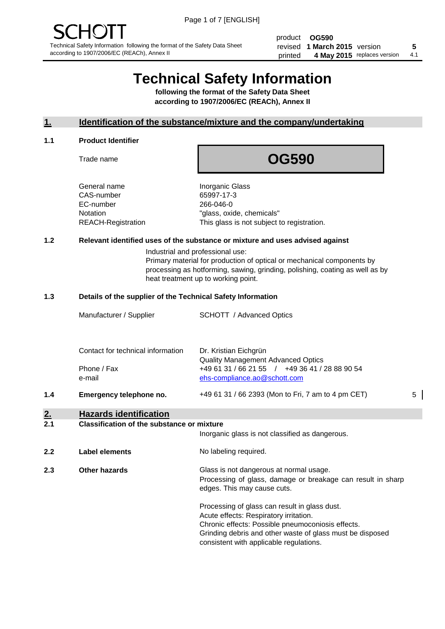product **OG590** revised **5 1 March 2015** version printed 4 May 2015 replaces version 4.1

# **Technical Safety Information**

**following the format of the Safety Data Sheet according to 1907/2006/EC (REACh), Annex II**

#### **1. Identification of the substance/mixture and the company/undertaking**

#### **1.1 Product Identifier**

Trade name

## **OG590**

General name **Inorganic Glass** CAS-number 65997-17-3 EC-number 266-046-0

Notation "glass, oxide, chemicals" REACH-Registration This glass is not subject to registration.

#### **1.2 Relevant identified uses of the substance or mixture and uses advised against**

Industrial and professional use: Primary material for production of optical or mechanical components by processing as hotforming, sawing, grinding, polishing, coating as well as by heat treatment up to working point.

#### **1.3 Details of the supplier of the Technical Safety Information**

| 2.<br>21 | Classification of the substance or mixture |                                                                                                                             |   |
|----------|--------------------------------------------|-----------------------------------------------------------------------------------------------------------------------------|---|
|          | <b>Hazards identification</b>              |                                                                                                                             |   |
| 1.4      | Emergency telephone no.                    | +49 61 31 / 66 2393 (Mon to Fri, 7 am to 4 pm CET)                                                                          | 5 |
|          | Phone / Fax<br>e-mail                      | <b>Quality Management Advanced Optics</b><br>+49 61 31 / 66 21 55 / +49 36 41 / 28 88 90 54<br>ehs-compliance.ao@schott.com |   |
|          | Contact for technical information          | Dr. Kristian Eichgrün                                                                                                       |   |
|          | Manufacturer / Supplier                    | <b>SCHOTT</b> / Advanced Optics                                                                                             |   |
|          |                                            |                                                                                                                             |   |

| 2.1 | <b>Classification of the substance or mixture</b><br>Inorganic glass is not classified as dangerous. |                                                                                                                                                                                                                                                      |  |
|-----|------------------------------------------------------------------------------------------------------|------------------------------------------------------------------------------------------------------------------------------------------------------------------------------------------------------------------------------------------------------|--|
| 2.2 | Label elements                                                                                       | No labeling required.                                                                                                                                                                                                                                |  |
| 2.3 | Other hazards                                                                                        | Glass is not dangerous at normal usage.<br>Processing of glass, damage or breakage can result in sharp<br>edges. This may cause cuts.                                                                                                                |  |
|     |                                                                                                      | Processing of glass can result in glass dust.<br>Acute effects: Respiratory irritation.<br>Chronic effects: Possible pneumoconiosis effects.<br>Grinding debris and other waste of glass must be disposed<br>consistent with applicable regulations. |  |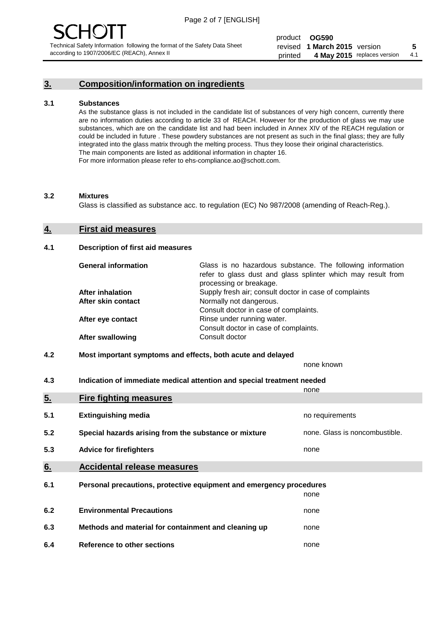### **3. Composition/information on ingredients**

#### **3.1 Substances**

As the substance glass is not included in the candidate list of substances of very high concern, currently there are no information duties according to article 33 of REACH. However for the production of glass we may use substances, which are on the candidate list and had been included in Annex XIV of the REACH regulation or could be included in future . These powdery substances are not present as such in the final glass; they are fully integrated into the glass matrix through the melting process. Thus they loose their original characteristics. The main components are listed as additional information in chapter 16. For more information please refer to ehs-compliance.ao@schott.com.

#### **3.2 Mixtures**

Glass is classified as substance acc. to regulation (EC) No 987/2008 (amending of Reach-Reg.).

#### **4. First aid measures**

#### **4.1 Description of first aid measures**

| <b>General information</b> | Glass is no hazardous substance. The following information<br>refer to glass dust and glass splinter which may result from<br>processing or breakage. |  |
|----------------------------|-------------------------------------------------------------------------------------------------------------------------------------------------------|--|
| <b>After inhalation</b>    | Supply fresh air; consult doctor in case of complaints                                                                                                |  |
| After skin contact         | Normally not dangerous.                                                                                                                               |  |
|                            | Consult doctor in case of complaints.                                                                                                                 |  |
| After eye contact          | Rinse under running water.                                                                                                                            |  |
|                            | Consult doctor in case of complaints.                                                                                                                 |  |
| <b>After swallowing</b>    | Consult doctor                                                                                                                                        |  |

#### **4.2 Most important symptoms and effects, both acute and delayed**

none known

**4.3 Indication of immediate medical attention and special treatment needed** 

|     |                                                                     | none                           |
|-----|---------------------------------------------------------------------|--------------------------------|
| 5.  | <b>Fire fighting measures</b>                                       |                                |
| 5.1 | <b>Extinguishing media</b>                                          | no requirements                |
| 5.2 | Special hazards arising from the substance or mixture               | none. Glass is noncombustible. |
| 5.3 | <b>Advice for firefighters</b>                                      | none                           |
| 6.  | <b>Accidental release measures</b>                                  |                                |
| 6.1 | Personal precautions, protective equipment and emergency procedures |                                |
|     |                                                                     | none                           |
| 6.2 | <b>Environmental Precautions</b>                                    | none                           |
| 6.3 | Methods and material for containment and cleaning up                | none                           |
| 6.4 | Reference to other sections                                         | none                           |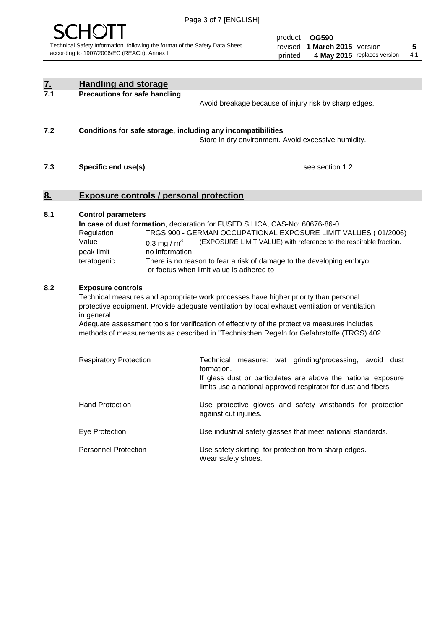

product **OG590** revised **5 1 March 2015** version printed 4 May 2015 replaces version 4.1

| <u>7.</u><br>7.1 | <b>Handling and storage</b>                                                                                                                                                                                                                                                                                                                                                                                                    |                                                                                                                                                                                                                                                                                                                                        |
|------------------|--------------------------------------------------------------------------------------------------------------------------------------------------------------------------------------------------------------------------------------------------------------------------------------------------------------------------------------------------------------------------------------------------------------------------------|----------------------------------------------------------------------------------------------------------------------------------------------------------------------------------------------------------------------------------------------------------------------------------------------------------------------------------------|
|                  | <b>Precautions for safe handling</b>                                                                                                                                                                                                                                                                                                                                                                                           | Avoid breakage because of injury risk by sharp edges.                                                                                                                                                                                                                                                                                  |
| 7.2              | Conditions for safe storage, including any incompatibilities                                                                                                                                                                                                                                                                                                                                                                   | Store in dry environment. Avoid excessive humidity.                                                                                                                                                                                                                                                                                    |
| 7.3              | Specific end use(s)                                                                                                                                                                                                                                                                                                                                                                                                            | see section 1.2                                                                                                                                                                                                                                                                                                                        |
| <u>8.</u>        | <b>Exposure controls / personal protection</b>                                                                                                                                                                                                                                                                                                                                                                                 |                                                                                                                                                                                                                                                                                                                                        |
| 8.1              | <b>Control parameters</b><br>Regulation<br>Value<br>0,3 mg / $m3$<br>peak limit<br>no information<br>teratogenic                                                                                                                                                                                                                                                                                                               | In case of dust formation, declaration for FUSED SILICA, CAS-No: 60676-86-0<br>TRGS 900 - GERMAN OCCUPATIONAL EXPOSURE LIMIT VALUES (01/2006)<br>(EXPOSURE LIMIT VALUE) with reference to the respirable fraction.<br>There is no reason to fear a risk of damage to the developing embryo<br>or foetus when limit value is adhered to |
| 8.2              | <b>Exposure controls</b><br>Technical measures and appropriate work processes have higher priority than personal<br>protective equipment. Provide adequate ventilation by local exhaust ventilation or ventilation<br>in general.<br>Adequate assessment tools for verification of effectivity of the protective measures includes<br>methods of measurements as described in "Technischen Regeln for Gefahrstoffe (TRGS) 402. |                                                                                                                                                                                                                                                                                                                                        |
|                  | <b>Respiratory Protection</b>                                                                                                                                                                                                                                                                                                                                                                                                  | Technical measure: wet grinding/processing, avoid dust<br>formation.<br>If glass dust or particulates are above the national exposure<br>limits use a national approved respirator for dust and fibers.                                                                                                                                |
|                  | <b>Hand Protection</b>                                                                                                                                                                                                                                                                                                                                                                                                         | Use protective gloves and safety wristbands for protection<br>against cut injuries.                                                                                                                                                                                                                                                    |
|                  | Eye Protection                                                                                                                                                                                                                                                                                                                                                                                                                 | Use industrial safety glasses that meet national standards.                                                                                                                                                                                                                                                                            |
|                  | <b>Personnel Protection</b>                                                                                                                                                                                                                                                                                                                                                                                                    | Use safety skirting for protection from sharp edges.<br>Wear safety shoes.                                                                                                                                                                                                                                                             |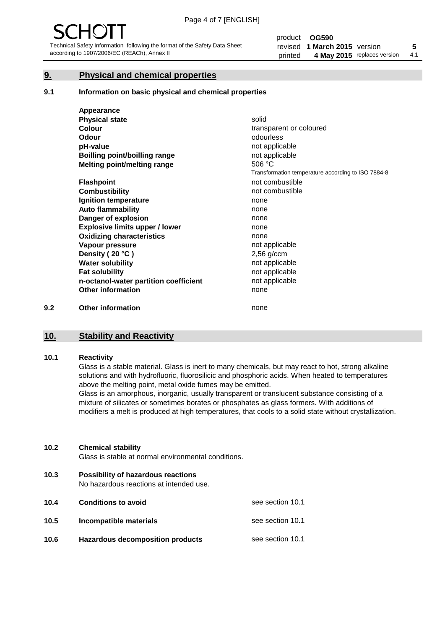#### **9. Physical and chemical properties**

#### **9.1 Information on basic physical and chemical properties**

|     | Appearance                            |                                                    |
|-----|---------------------------------------|----------------------------------------------------|
|     | <b>Physical state</b>                 | solid                                              |
|     | <b>Colour</b>                         | transparent or coloured                            |
|     | <b>Odour</b>                          | odourless                                          |
|     | pH-value                              | not applicable                                     |
|     | Boilling point/boilling range         | not applicable                                     |
|     | Melting point/melting range           | 506 °C                                             |
|     |                                       | Transformation temperature according to ISO 7884-8 |
|     | <b>Flashpoint</b>                     | not combustible                                    |
|     | <b>Combustibility</b>                 | not combustible                                    |
|     | Ignition temperature                  | none                                               |
|     | <b>Auto flammability</b>              | none                                               |
|     | Danger of explosion                   | none                                               |
|     | <b>Explosive limits upper / lower</b> | none                                               |
|     | <b>Oxidizing characteristics</b>      | none                                               |
|     | Vapour pressure                       | not applicable                                     |
|     | Density (20 °C)                       | $2,56$ g/ccm                                       |
|     | <b>Water solubility</b>               | not applicable                                     |
|     | <b>Fat solubility</b>                 | not applicable                                     |
|     | n-octanol-water partition coefficient | not applicable                                     |
|     | <b>Other information</b>              | none                                               |
| 9.2 | <b>Other information</b>              | none                                               |

## **10. Stability and Reactivity**

#### **10.1 Reactivity**

Glass is a stable material. Glass is inert to many chemicals, but may react to hot, strong alkaline solutions and with hydrofluoric, fluorosilicic and phosphoric acids. When heated to temperatures above the melting point, metal oxide fumes may be emitted.

Glass is an amorphous, inorganic, usually transparent or translucent substance consisting of a mixture of silicates or sometimes borates or phosphates as glass formers. With additions of modifiers a melt is produced at high temperatures, that cools to a solid state without crystallization.

#### **10.2 Chemical stability**

Glass is stable at normal environmental conditions.

**10.3 Possibility of hazardous reactions** 

No hazardous reactions at intended use.

| 10.4 | <b>Conditions to avoid</b>              | see section 10.1 |
|------|-----------------------------------------|------------------|
| 10.5 | Incompatible materials                  | see section 10.1 |
| 10.6 | <b>Hazardous decomposition products</b> | see section 10.1 |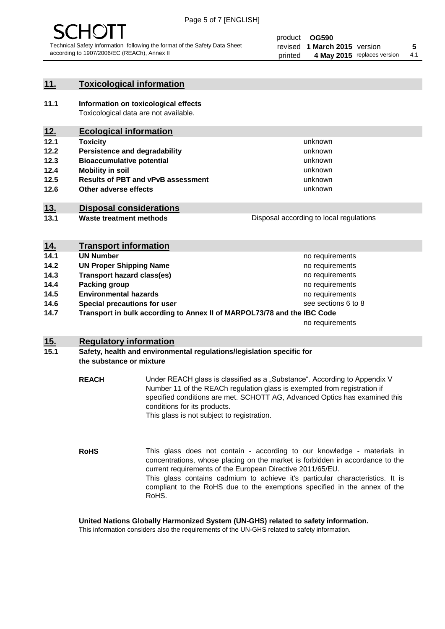

#### **11. Toxicological information**

**11.1 Information on toxicological effects** Toxicological data are not available.

### **12. Ecological information**

- **12.1 Toxicity**
- **12.2 Persistence and degradability**
- **12.3 Bioaccumulative potential**
- **12.4 Mobility in soil**
- **12.5 Results of PBT and vPvB assessment**
- **12.6 Other adverse effects**

#### **13. Disposal considerations**

**13.1 Waste treatment methods**

Disposal according to local regulations

unknown unknown unknown unknown

unknown unknown

| <u>14.</u> | <b>Transport information</b>                                            |                     |
|------------|-------------------------------------------------------------------------|---------------------|
| 14.1       | <b>UN Number</b>                                                        | no requirements     |
| 14.2       | <b>UN Proper Shipping Name</b>                                          | no requirements     |
| 14.3       | <b>Transport hazard class(es)</b>                                       | no requirements     |
| 14.4       | Packing group                                                           | no requirements     |
| 14.5       | <b>Environmental hazards</b>                                            | no requirements     |
| 14.6       | Special precautions for user                                            | see sections 6 to 8 |
| 14.7       | Transport in bulk according to Annex II of MARPOL73/78 and the IBC Code |                     |
|            |                                                                         | no requirements     |

#### **15. Regulatory information**

#### **15.1 Safety, health and environmental regulations/legislation specific for the substance or mixture**

**REACH** Under REACH glass is classified as a "Substance". According to Appendix V Number 11 of the REACh regulation glass is exempted from registration if specified conditions are met. SCHOTT AG, Advanced Optics has examined this conditions for its products. This glass is not subject to registration.

**RoHS** This glass does not contain - according to our knowledge - materials in concentrations, whose placing on the market is forbidden in accordance to the current requirements of the European Directive 2011/65/EU. This glass contains cadmium to achieve it's particular characteristics. It is compliant to the RoHS due to the exemptions specified in the annex of the RoHS.

**United Nations Globally Harmonized System (UN-GHS) related to safety information.**

This information considers also the requirements of the UN-GHS related to safety information.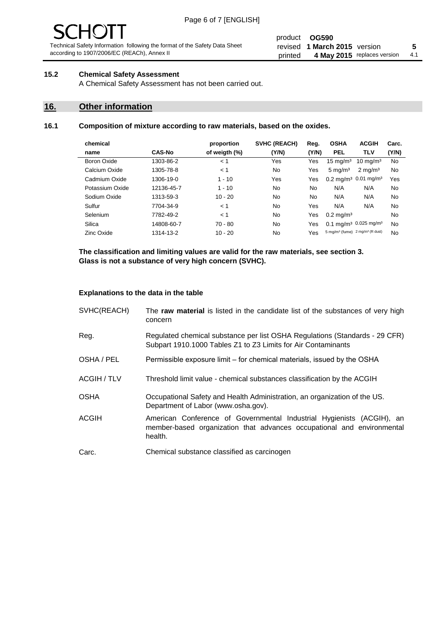# - JF

Technical Safety Information following the format of the Safety Data Sheet according to 1907/2006/EC (REACh), Annex II

#### product **OG590** revised **5 1 March 2015** version printed 4 May 2015 replaces version 4.1

#### **15.2 Chemical Safety Assessment**

A Chemical Safety Assessment has not been carried out.

#### **16. Other information**

#### **16.1 Composition of mixture according to raw materials, based on the oxides.**

| chemical        |               | proportion    | <b>SVHC (REACH)</b> | Reg.  | <b>OSHA</b>                                             | <b>ACGIH</b>                                  | Carc. |
|-----------------|---------------|---------------|---------------------|-------|---------------------------------------------------------|-----------------------------------------------|-------|
| name            | <b>CAS-No</b> | of weigth (%) | (Y/N)               | (Y/N) | <b>PEL</b>                                              | <b>TLV</b>                                    | (Y/N) |
| Boron Oxide     | 1303-86-2     | < 1           | Yes                 | Yes   | $15 \text{ mg/m}^3$                                     | $10 \text{ mg/m}^3$                           | No    |
| Calcium Oxide   | 1305-78-8     | < 1           | No                  | Yes   | $5 \text{ mg/m}^3$                                      | $2 \text{ mg/m}^3$                            | No    |
| Cadmium Oxide   | 1306-19-0     | $1 - 10$      | Yes                 | Yes   |                                                         | $0.2 \text{ mg/m}^3$ 0.01 mg/m <sup>3</sup>   | Yes   |
| Potassium Oxide | 12136-45-7    | $1 - 10$      | No                  | No    | N/A                                                     | N/A                                           | No    |
| Sodium Oxide    | 1313-59-3     | $10 - 20$     | No                  | No.   | N/A                                                     | N/A                                           | No    |
| Sulfur          | 7704-34-9     | < 1           | No                  | Yes   | N/A                                                     | N/A                                           | No    |
| Selenium        | 7782-49-2     | < 1           | No                  | Yes   | $0.2 \,\mathrm{mg/m^3}$                                 |                                               | No    |
| Silica          | 14808-60-7    | $70 - 80$     | No.                 | Yes   |                                                         | 0.1 mg/m <sup>3</sup> 0.025 mg/m <sup>3</sup> | No    |
| Zinc Oxide      | 1314-13-2     | $10 - 20$     | No                  | Yes   | 5 mg/m <sup>3</sup> (fume) 2 mg/m <sup>3</sup> (R dust) |                                               | No    |

**The classification and limiting values are valid for the raw materials, see section 3. Glass is not a substance of very high concern (SVHC).**

#### **Explanations to the data in the table**

| SVHC(REACH)        | The raw material is listed in the candidate list of the substances of very high<br>concern                                                                 |
|--------------------|------------------------------------------------------------------------------------------------------------------------------------------------------------|
| Reg.               | Regulated chemical substance per list OSHA Regulations (Standards - 29 CFR)<br>Subpart 1910.1000 Tables Z1 to Z3 Limits for Air Contaminants               |
| OSHA / PEL         | Permissible exposure limit – for chemical materials, issued by the OSHA                                                                                    |
| <b>ACGIH / TLV</b> | Threshold limit value - chemical substances classification by the ACGIH                                                                                    |
| <b>OSHA</b>        | Occupational Safety and Health Administration, an organization of the US.<br>Department of Labor (www.osha.gov).                                           |
| ACGIH              | American Conference of Governmental Industrial Hygienists (ACGIH), an<br>member-based organization that advances occupational and environmental<br>health. |
| Carc.              | Chemical substance classified as carcinogen                                                                                                                |